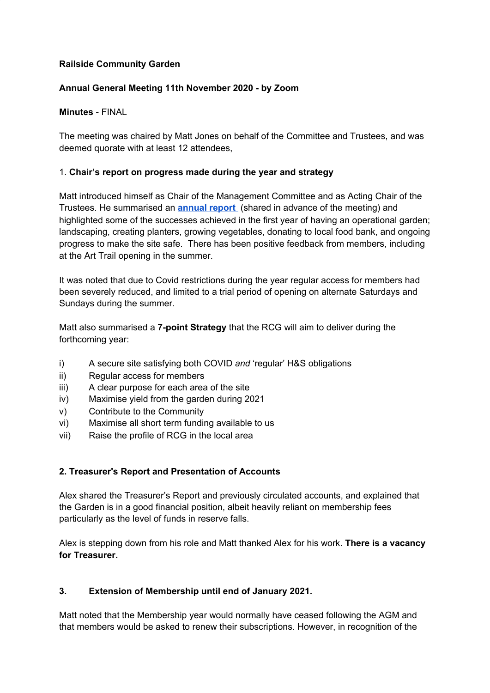### **Railside Community Garden**

#### **Annual General Meeting 11th November 2020 - by Zoom**

#### **Minutes** - FINAL

The meeting was chaired by Matt Jones on behalf of the Committee and Trustees, and was deemed quorate with at least 12 attendees,

#### 1. **Chair's report on progress made during the year and strategy**

Matt introduced himself as Chair of the Management Committee and as Acting Chair of the Trustees. He summarised an **[annual](https://docs.google.com/document/u/0/d/13-gTfma69CTVXpNCT4L6GhrZgq81KMnzgjmUHYOYaa8/edit) report** (shared in advance of the meeting) and highlighted some of the successes achieved in the first year of having an operational garden; landscaping, creating planters, growing vegetables, donating to local food bank, and ongoing progress to make the site safe. There has been positive feedback from members, including at the Art Trail opening in the summer.

It was noted that due to Covid restrictions during the year regular access for members had been severely reduced, and limited to a trial period of opening on alternate Saturdays and Sundays during the summer.

Matt also summarised a **7-point Strategy** that the RCG will aim to deliver during the forthcoming year:

- i) A secure site satisfying both COVID and 'regular' H&S obligations
- ii) Regular access for members
- iii) A clear purpose for each area of the site
- iv) Maximise yield from the garden during 2021
- v) Contribute to the Community
- vi) Maximise all short term funding available to us
- vii) Raise the profile of RCG in the local area

## **2. Treasurer's Report and Presentation of Accounts**

Alex shared the Treasurer's Report and previously circulated accounts, and explained that the Garden is in a good financial position, albeit heavily reliant on membership fees particularly as the level of funds in reserve falls.

Alex is stepping down from his role and Matt thanked Alex for his work. **There is a vacancy for Treasurer.**

## **3. Extension of Membership until end of January 2021.**

Matt noted that the Membership year would normally have ceased following the AGM and that members would be asked to renew their subscriptions. However, in recognition of the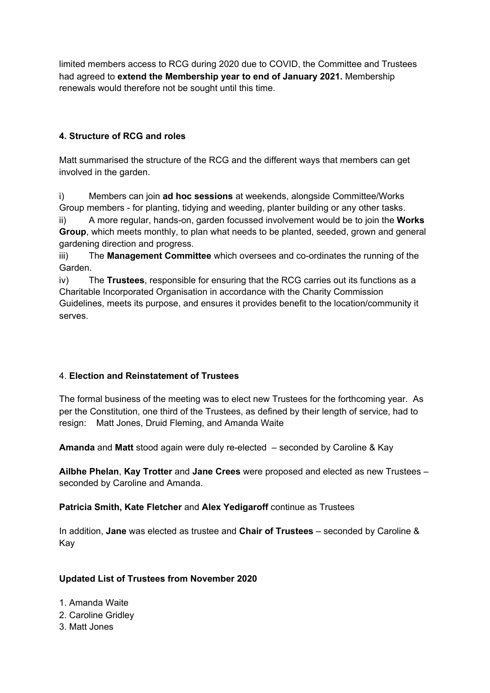limited members access to RCG during 2020 due to COVID, the Committee and Trustees had agreed to **extend the Membership year to end of January 2021.** Membership renewals would therefore not be sought until this time.

# **4. Structure of RCG and roles**

Matt summarised the structure of the RCG and the different ways that members can get involved in the garden.

i) Members can join **ad hoc sessions** at weekends, alongside Committee/Works Group members - for planting, tidying and weeding, planter building or any other tasks.

ii) A more regular, hands-on, garden focussed involvement would be to join the **Works Group**, which meets monthly, to plan what needs to be planted, seeded, grown and general gardening direction and progress.

iii) The **Management Committee** which oversees and co-ordinates the running of the Garden.

iv) The **Trustees**, responsible for ensuring that the RCG carries out its functions as a Charitable Incorporated Organisation in accordance with the Charity Commission Guidelines, meets its purpose, and ensures it provides benefit to the location/community it serves.

# 4. **Election and Reinstatement of Trustees**

The formal business of the meeting was to elect new Trustees for the forthcoming year. As per the Constitution, one third of the Trustees, as defined by their length of service, had to resign: Matt Jones, Druid Fleming, and Amanda Waite

**Amanda** and **Matt** stood again were duly re-elected – seconded by Caroline & Kay

**Ailbhe Phelan**, **Kay Trotter** and **Jane Crees** were proposed and elected as new Trustees – seconded by Caroline and Amanda.

# **Patricia Smith, Kate Fletcher** and **Alex Yedigaroff** continue as Trustees

In addition, **Jane** was elected as trustee and **Chair of Trustees** – seconded by Caroline & Kay

# **Updated List of Trustees from November 2020**

- 1. Amanda Waite
- 2. Caroline Gridley
- 3. Matt Jones